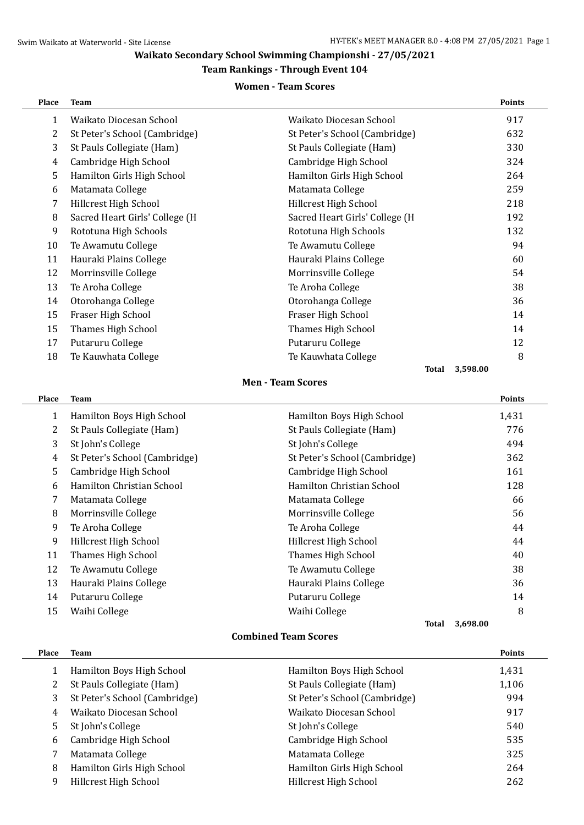## **Waikato Secondary School Swimming Championshi - 27/05/2021**

### **Team Rankings - Through Event 104**

### **Women - Team Scores**

| Place        | <b>Team</b>                    |                                | <b>Points</b> |
|--------------|--------------------------------|--------------------------------|---------------|
| $\mathbf{1}$ | Waikato Diocesan School        | Waikato Diocesan School        | 917           |
| 2            | St Peter's School (Cambridge)  | St Peter's School (Cambridge)  | 632           |
| 3            | St Pauls Collegiate (Ham)      | St Pauls Collegiate (Ham)      | 330           |
| 4            | Cambridge High School          | Cambridge High School          | 324           |
| 5            | Hamilton Girls High School     | Hamilton Girls High School     | 264           |
| 6            | Matamata College               | Matamata College               | 259           |
| 7            | Hillcrest High School          | Hillcrest High School          | 218           |
| 8            | Sacred Heart Girls' College (H | Sacred Heart Girls' College (H | 192           |
| 9            | Rototuna High Schools          | Rototuna High Schools          | 132           |
| 10           | Te Awamutu College             | Te Awamutu College             | 94            |
| 11           | Hauraki Plains College         | Hauraki Plains College         | 60            |
| 12           | Morrinsville College           | Morrinsville College           | 54            |
| 13           | Te Aroha College               | Te Aroha College               | 38            |
| 14           | Otorohanga College             | Otorohanga College             | 36            |
| 15           | Fraser High School             | Fraser High School             | 14            |
| 15           | Thames High School             | Thames High School             | 14            |
| 17           | Putaruru College               | Putaruru College               | 12            |
| 18           | Te Kauwhata College            | Te Kauwhata College            | 8             |
|              |                                | <b>Total</b>                   | 3,598.00      |

#### **Men - Team Scores**

| <b>Place</b> | <b>Team</b>                   |                               |                          | Points        |
|--------------|-------------------------------|-------------------------------|--------------------------|---------------|
| $\mathbf{1}$ | Hamilton Boys High School     | Hamilton Boys High School     |                          | 1,431         |
| 2            | St Pauls Collegiate (Ham)     | St Pauls Collegiate (Ham)     |                          | 776           |
| 3            | St John's College             | St John's College             |                          | 494           |
| 4            | St Peter's School (Cambridge) | St Peter's School (Cambridge) |                          | 362           |
| 5            | Cambridge High School         | Cambridge High School         |                          | 161           |
| 6            | Hamilton Christian School     | Hamilton Christian School     |                          | 128           |
| 7            | Matamata College              | Matamata College              |                          | 66            |
| 8            | Morrinsville College          | Morrinsville College          |                          | 56            |
| 9            | Te Aroha College              | Te Aroha College              |                          | 44            |
| 9            | Hillcrest High School         | Hillcrest High School         |                          | 44            |
| 11           | Thames High School            | Thames High School            |                          | 40            |
| 12           | Te Awamutu College            | Te Awamutu College            |                          | 38            |
| 13           | Hauraki Plains College        | Hauraki Plains College        |                          | 36            |
| 14           | Putaruru College              | Putaruru College              |                          | 14            |
| 15           | Waihi College                 | Waihi College                 |                          | 8             |
|              |                               |                               | 3,698.00<br><b>Total</b> |               |
|              |                               | <b>Combined Team Scores</b>   |                          |               |
| <b>Place</b> | <b>Team</b>                   |                               |                          | <b>Points</b> |
| 1            | Hamilton Boys High School     | Hamilton Boys High School     |                          | 1,431         |
| 2            | St Pauls Collegiate (Ham)     | St Pauls Collegiate (Ham)     |                          | 1,106         |
| 3            | St Peter's School (Cambridge) | St Peter's School (Cambridge) |                          | 994           |

 Waikato Diocesan School Waikato Diocesan School 917 5 St John's College 540 Cambridge High School Cambridge High School 535 7 Matamata College 325 8 Hamilton Girls High School **Hamilton Girls High School** 264 9 Hillcrest High School 262